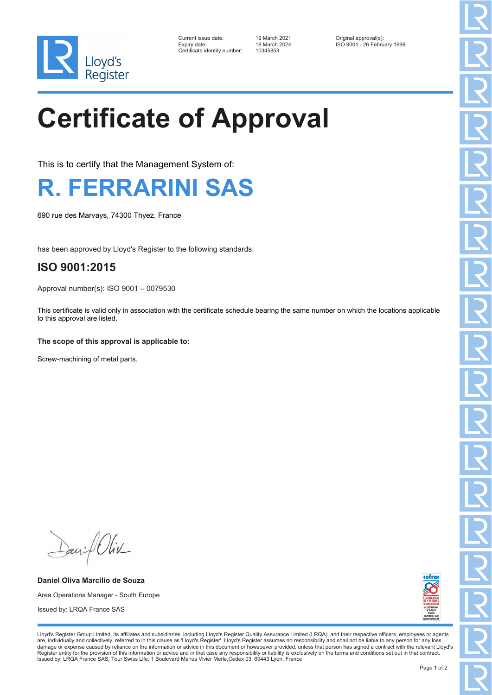

| Current issue date:         |
|-----------------------------|
| Expiry date:                |
| Certificate identity number |

Certificate identity number: 10345853

Current issue date: 19 March 2021 Original approval(s): Expiry date: 18 March 2024 ISO 9001 - 26 February 1999

## **Certificate of Approval**

This is to certify that the Management System of:



690 rue des Marvays, 74300 Thyez, France

has been approved by Lloyd's Register to the following standards:

## **ISO 9001:2015**

Approval number(s): ISO 9001 – 0079530

This certificate is valid only in association with the certificate schedule bearing the same number on which the locations applicable to this approval are listed.

## **The scope of this approval is applicable to:**

Screw-machining of metal parts.

Daniel Oliv

**Daniel Oliva Marcilio de Souza** Area Operations Manager - South Europe Issued by: LRQA France SAS



Lloyd's Register Group Limited, its affiliates and subsidiaries, including Lloyd's Register Quality Assurance Limited (LRQA), and their respective officers, employees or agents are, individually and collectively, referred to in this clause as 'Lloyd's Register'. Lloyd's Register assumes no responsibility and shall not be liable to any person for any loss,<br>damage or expense caused by reliance on t Register entity for the provision of this information or advice and in that case any responsibility or liability is exclusively on the terms and conditions set out in that contract. Issued by: LRQA France SAS, Tour Swiss Life, 1 Boulevard Marius Vivier Merle, Cedex 03, 69443 Lyon, France